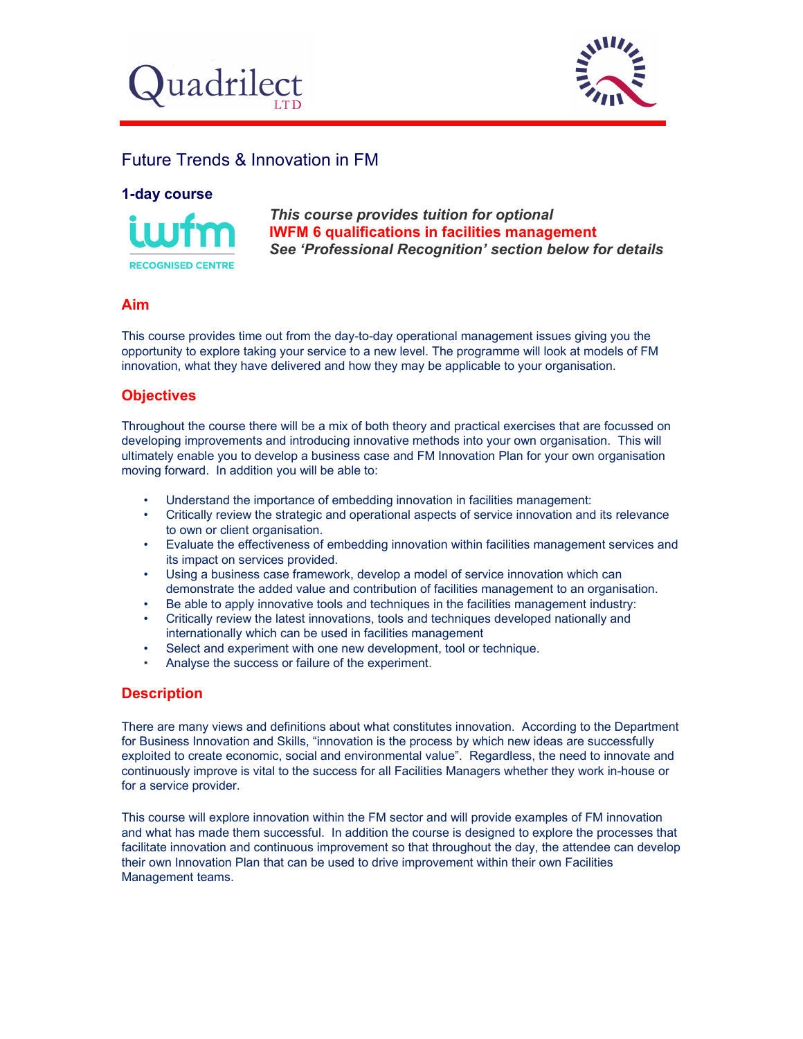



# Future Trends & Innovation in FM

#### **1-day course**



*This course provides tuition for optional*  **IWFM 6 qualifications in facilities management** *See 'Professional Recognition' section below for details* 

# **Aim**

This course provides time out from the day-to-day operational management issues giving you the opportunity to explore taking your service to a new level. The programme will look at models of FM innovation, what they have delivered and how they may be applicable to your organisation.

# **Objectives**

Throughout the course there will be a mix of both theory and practical exercises that are focussed on developing improvements and introducing innovative methods into your own organisation. This will ultimately enable you to develop a business case and FM Innovation Plan for your own organisation moving forward. In addition you will be able to:

- Understand the importance of embedding innovation in facilities management:
- Critically review the strategic and operational aspects of service innovation and its relevance to own or client organisation.
- Evaluate the effectiveness of embedding innovation within facilities management services and its impact on services provided.
- Using a business case framework, develop a model of service innovation which can demonstrate the added value and contribution of facilities management to an organisation.
- Be able to apply innovative tools and techniques in the facilities management industry:
- Critically review the latest innovations, tools and techniques developed nationally and internationally which can be used in facilities management
- Select and experiment with one new development, tool or technique.
- Analyse the success or failure of the experiment.

#### **Description**

There are many views and definitions about what constitutes innovation. According to the Department for Business Innovation and Skills, "innovation is the process by which new ideas are successfully exploited to create economic, social and environmental value". Regardless, the need to innovate and continuously improve is vital to the success for all Facilities Managers whether they work in-house or for a service provider.

This course will explore innovation within the FM sector and will provide examples of FM innovation and what has made them successful. In addition the course is designed to explore the processes that facilitate innovation and continuous improvement so that throughout the day, the attendee can develop their own Innovation Plan that can be used to drive improvement within their own Facilities Management teams.